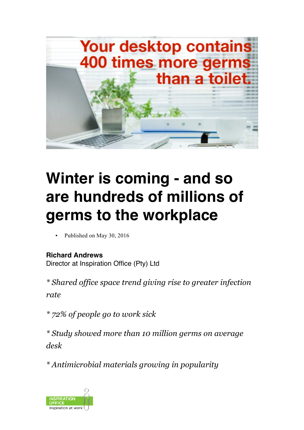

## **Winter is coming - and so are hundreds of millions of germs to the workplace**

Published on May 30, 2016

**Richard Andrews** Director at Inspiration Office (Pty) Ltd

*\* Shared office space trend giving rise to greater infection rate*

*\* 72% of people go to work sick*

*\* Study showed more than 10 million germs on average desk*

*\* Antimicrobial materials growing in popularity*

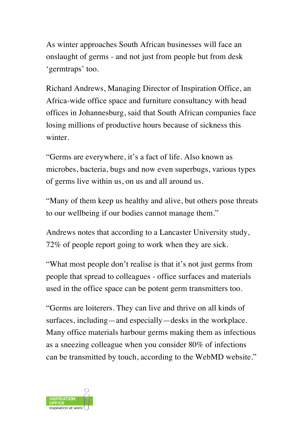As winter approaches South African businesses will face an onslaught of germs - and not just from people but from desk 'germtraps' too.

Richard Andrews, Managing Director of Inspiration Office, an Africa-wide office space and furniture consultancy with head offices in Johannesburg, said that South African companies face losing millions of productive hours because of sickness this winter.

"Germs are everywhere, it's a fact of life. Also known as microbes, bacteria, bugs and now even superbugs, various types of germs live within us, on us and all around us.

"Many of them keep us healthy and alive, but others pose threats to our wellbeing if our bodies cannot manage them."

Andrews notes that according to a Lancaster University study, 72% of people report going to work when they are sick.

"What most people don't realise is that it's not just germs from people that spread to colleagues - office surfaces and materials used in the office space can be potent germ transmitters too.

"Germs are loiterers. They can live and thrive on all kinds of surfaces, including—and especially—desks in the workplace. Many office materials harbour germs making them as infectious as a sneezing colleague when you consider 80% of infections can be transmitted by touch, according to the WebMD website."

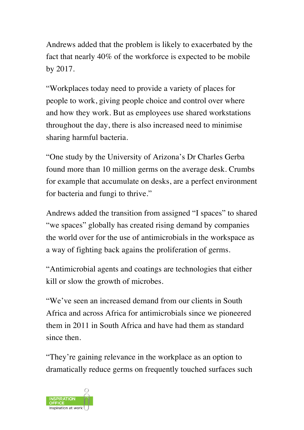Andrews added that the problem is likely to exacerbated by the fact that nearly 40% of the workforce is expected to be mobile by 2017.

"Workplaces today need to provide a variety of places for people to work, giving people choice and control over where and how they work. But as employees use shared workstations throughout the day, there is also increased need to minimise sharing harmful bacteria.

"One study by the University of Arizona's Dr Charles Gerba found more than 10 million germs on the average desk. Crumbs for example that accumulate on desks, are a perfect environment for bacteria and fungi to thrive."

Andrews added the transition from assigned "I spaces" to shared "we spaces" globally has created rising demand by companies the world over for the use of antimicrobials in the workspace as a way of fighting back agains the proliferation of germs.

"Antimicrobial agents and coatings are technologies that either kill or slow the growth of microbes.

"We've seen an increased demand from our clients in South Africa and across Africa for antimicrobials since we pioneered them in 2011 in South Africa and have had them as standard since then.

"They're gaining relevance in the workplace as an option to dramatically reduce germs on frequently touched surfaces such